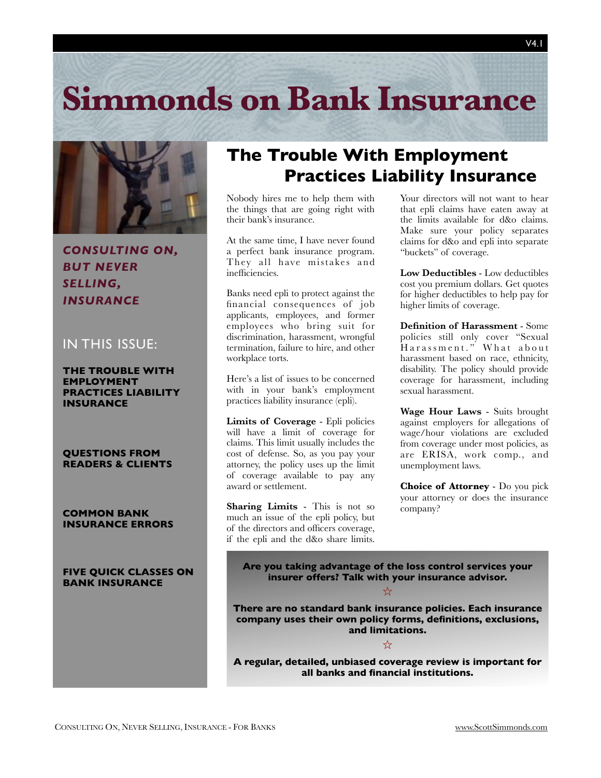# **Simmonds on Bank Insurance**



*CONSULTING ON, BUT NEVER SELLING, INSURANCE*

#### IN THIS ISSUE:

**THE TROUBLE WITH EMPLOYMENT PRACTICES LIABILITY INSURANCE**

**QUESTIONS FROM READERS & CLIENTS**

#### **COMMON BANK INSURANCE ERRORS**

#### **FIVE QUICK CLASSES ON BANK INSURANCE**

# **The Trouble With Employment Practices Liability Insurance**

Nobody hires me to help them with the things that are going right with their bank's insurance.

At the same time, I have never found a perfect bank insurance program. They all have mistakes and inefficiencies.

Banks need epli to protect against the financial consequences of job applicants, employees, and former employees who bring suit for discrimination, harassment, wrongful termination, failure to hire, and other workplace torts.

Here's a list of issues to be concerned with in your bank's employment practices liability insurance (epli).

**Limits of Coverage** - Epli policies will have a limit of coverage for claims. This limit usually includes the cost of defense. So, as you pay your attorney, the policy uses up the limit of coverage available to pay any award or settlement.

**Sharing Limits** - This is not so much an issue of the epli policy, but of the directors and officers coverage, if the epli and the d&o share limits.

Your directors will not want to hear that epli claims have eaten away at the limits available for d&o claims. Make sure your policy separates claims for d&o and epli into separate "buckets" of coverage.

**Low Deductibles** - Low deductibles cost you premium dollars. Get quotes for higher deductibles to help pay for higher limits of coverage.

**Definition of Harassment** - Some policies still only cover "Sexual Harassment." What about harassment based on race, ethnicity, disability. The policy should provide coverage for harassment, including sexual harassment.

**Wage Hour Laws** - Suits brought against employers for allegations of wage/hour violations are excluded from coverage under most policies, as are ERISA, work comp., and unemployment laws.

**Choice of Attorney** - Do you pick your attorney or does the insurance company?

**Are you taking advantage of the loss control services your insurer offers? Talk with your insurance advisor.** ☆

**There are no standard bank insurance policies. Each insurance company uses their own policy forms, definitions, exclusions, and limitations.** 

**A regular, detailed, unbiased coverage review is important for all banks and financial institutions.**

☆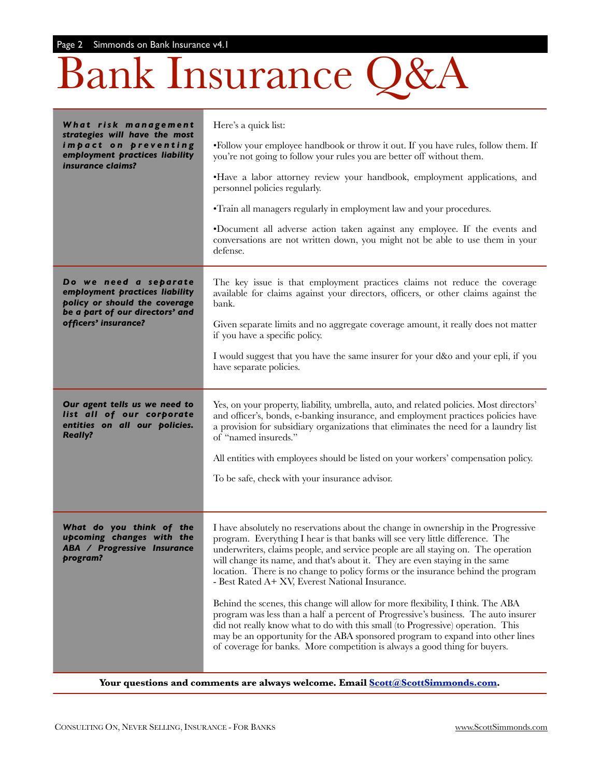# Bank Insurance Q&A

| What risk management<br>strategies will have the most<br>impact on preventing<br>employment practices liability<br><i>insurance claims?</i>         | Here's a quick list:                                                                                                                                                                                                                                                                                                                                                                                                                                                            |
|-----------------------------------------------------------------------------------------------------------------------------------------------------|---------------------------------------------------------------------------------------------------------------------------------------------------------------------------------------------------------------------------------------------------------------------------------------------------------------------------------------------------------------------------------------------------------------------------------------------------------------------------------|
|                                                                                                                                                     | •Follow your employee handbook or throw it out. If you have rules, follow them. If<br>you're not going to follow your rules you are better off without them.                                                                                                                                                                                                                                                                                                                    |
|                                                                                                                                                     | . Have a labor attorney review your handbook, employment applications, and<br>personnel policies regularly.                                                                                                                                                                                                                                                                                                                                                                     |
|                                                                                                                                                     | • Train all managers regularly in employment law and your procedures.                                                                                                                                                                                                                                                                                                                                                                                                           |
|                                                                                                                                                     | •Document all adverse action taken against any employee. If the events and<br>conversations are not written down, you might not be able to use them in your<br>defense.                                                                                                                                                                                                                                                                                                         |
| Do we need a separate<br>employment practices liability<br>policy or should the coverage<br>be a part of our directors' and<br>officers' insurance? | The key issue is that employment practices claims not reduce the coverage<br>available for claims against your directors, officers, or other claims against the<br>bank.                                                                                                                                                                                                                                                                                                        |
|                                                                                                                                                     | Given separate limits and no aggregate coverage amount, it really does not matter<br>if you have a specific policy.                                                                                                                                                                                                                                                                                                                                                             |
|                                                                                                                                                     | I would suggest that you have the same insurer for your d&o and your epli, if you<br>have separate policies.                                                                                                                                                                                                                                                                                                                                                                    |
| Our agent tells us we need to<br>list all of our corporate<br>entities on all our policies.<br><b>Really?</b>                                       | Yes, on your property, liability, umbrella, auto, and related policies. Most directors'<br>and officer's, bonds, e-banking insurance, and employment practices policies have<br>a provision for subsidiary organizations that eliminates the need for a laundry list<br>of "named insureds."                                                                                                                                                                                    |
|                                                                                                                                                     | All entities with employees should be listed on your workers' compensation policy.                                                                                                                                                                                                                                                                                                                                                                                              |
|                                                                                                                                                     | To be safe, check with your insurance advisor.                                                                                                                                                                                                                                                                                                                                                                                                                                  |
|                                                                                                                                                     |                                                                                                                                                                                                                                                                                                                                                                                                                                                                                 |
| What do you think of the<br>upcoming changes with the<br>ABA / Progressive Insurance<br>program?                                                    | I have absolutely no reservations about the change in ownership in the Progressive<br>program. Everything I hear is that banks will see very little difference. The<br>underwriters, claims people, and service people are all staying on. The operation<br>will change its name, and that's about it. They are even staying in the same<br>location. There is no change to policy forms or the insurance behind the program<br>- Best Rated A+ XV, Everest National Insurance. |
|                                                                                                                                                     | Behind the scenes, this change will allow for more flexibility, I think. The ABA<br>program was less than a half a percent of Progressive's business. The auto insurer<br>did not really know what to do with this small (to Progressive) operation. This<br>may be an opportunity for the ABA sponsored program to expand into other lines<br>of coverage for banks. More competition is always a good thing for buyers.                                                       |

Your questions and comments are always welcome. Email **Scott@ScottSimmonds.com.**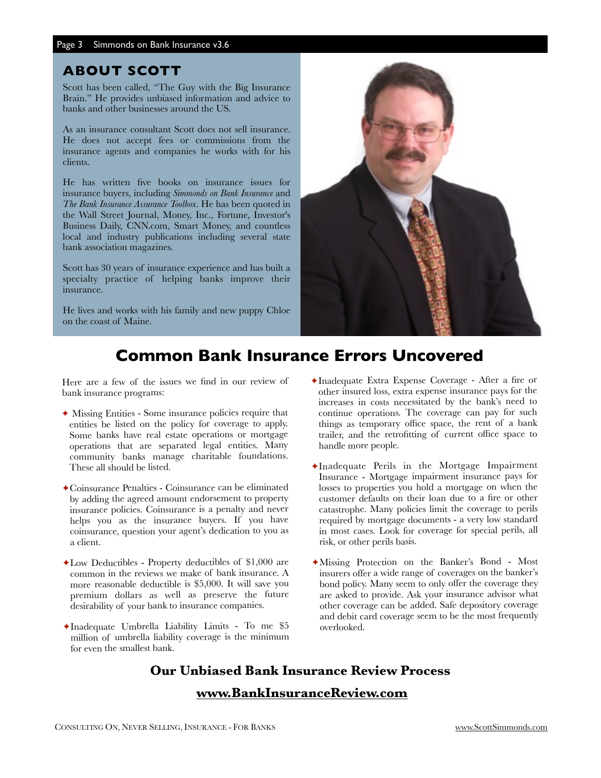#### **ABOUT SCOTT**

Scott has been called, "The Guy with the Big Insurance Brain." He provides unbiased information and advice to banks and other businesses around the US.

As an insurance consultant Scott does not sell insurance. He does not accept fees or commissions from the insurance agents and companies he works with for his clients.

He has written five books on insurance issues for insurance buyers, including *Simmonds on Bank Insurance* and *The Bank Insurance Assurance Toolbox*. He has been quoted in the Wall Street Journal, Money, Inc., Fortune, Investor's Business Daily, CNN.com, Smart Money, and countless local and industry publications including several state bank association magazines.

Scott has 30 years of insurance experience and has built a specialty practice of helping banks improve their insurance.

He lives and works with his family and new puppy Chloe on the coast of Maine.



# **Common Bank Insurance Errors Uncovered**

Here are a few of the issues we find in our review of bank insurance programs:

- ✦ Missing Entities Some insurance policies require that entities be listed on the policy for coverage to apply. Some banks have real estate operations or mortgage operations that are separated legal entities. Many community banks manage charitable foundations. These all should be listed.
- ✦Coinsurance Penalties Coinsurance can be eliminated by adding the agreed amount endorsement to property insurance policies. Coinsurance is a penalty and never helps you as the insurance buyers. If you have coinsurance, question your agent's dedication to you as a client.
- ✦Low Deductibles Property deductibles of \$1,000 are common in the reviews we make of bank insurance. A more reasonable deductible is \$5,000. It will save you premium dollars as well as preserve the future desirability of your bank to insurance companies.
- ✦Inadequate Umbrella Liability Limits To me \$5 million of umbrella liability coverage is the minimum for even the smallest bank.
- ✦Inadequate Extra Expense Coverage After a fire or other insured loss, extra expense insurance pays for the increases in costs necessitated by the bank's need to continue operations. The coverage can pay for such things as temporary office space, the rent of a bank trailer, and the retrofitting of current office space to handle more people.
- ✦Inadequate Perils in the Mortgage Impairment Insurance - Mortgage impairment insurance pays for losses to properties you hold a mortgage on when the customer defaults on their loan due to a fire or other catastrophe. Many policies limit the coverage to perils required by mortgage documents - a very low standard in most cases. Look for coverage for special perils, all risk, or other perils basis.
- ✦Missing Protection on the Banker's Bond Most insurers offer a wide range of coverages on the banker's bond policy. Many seem to only offer the coverage they are asked to provide. Ask your insurance advisor what other coverage can be added. Safe depository coverage and debit card coverage seem to be the most frequently overlooked.

## **Our Unbiased Bank Insurance Review Process**

#### **[www.BankInsuranceReview.com](http://www.BankInsuranceReview.com)**